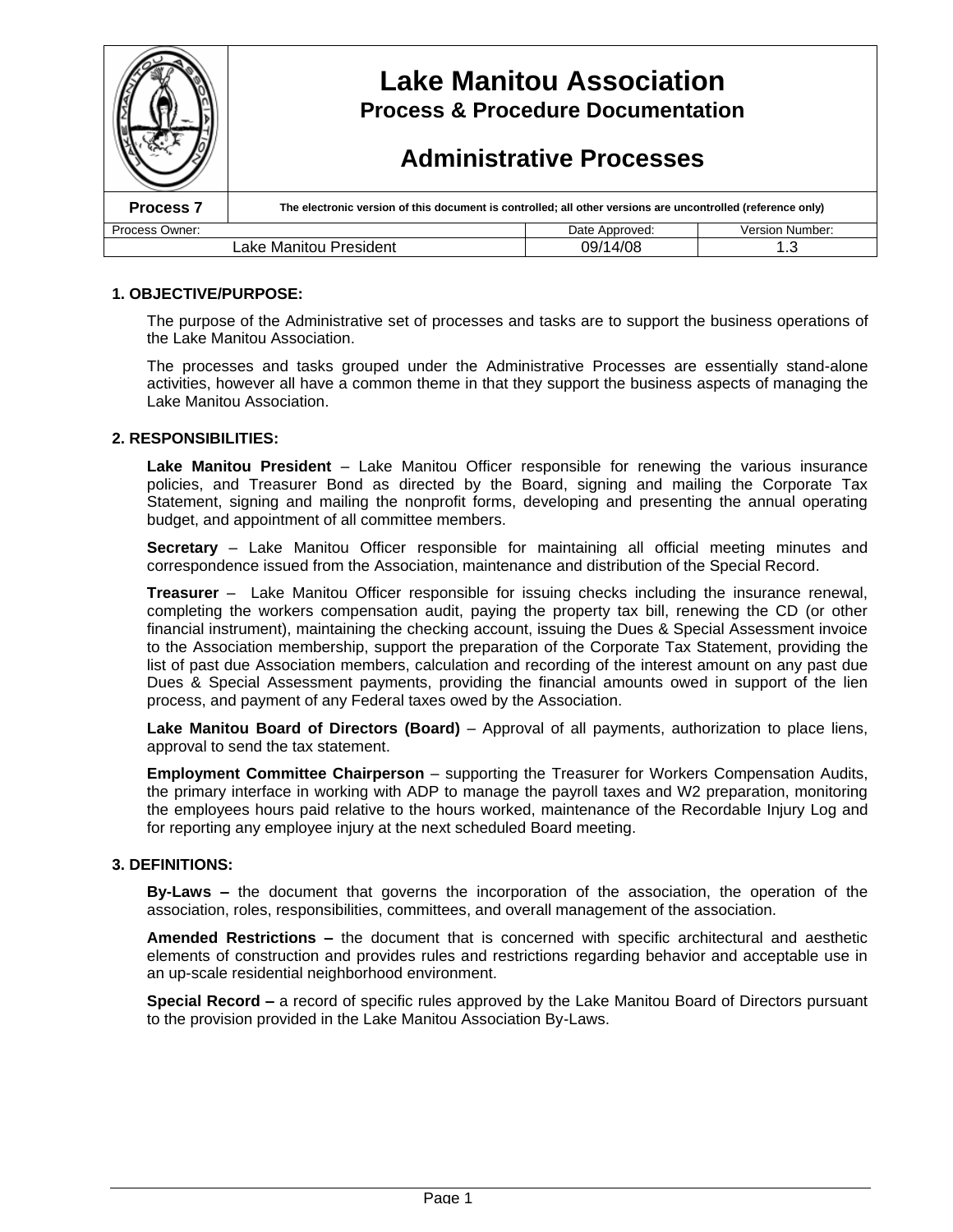|                                           | <b>Lake Manitou Association</b><br><b>Process &amp; Procedure Documentation</b><br><b>Administrative Processes</b> |                |                 |  |
|-------------------------------------------|--------------------------------------------------------------------------------------------------------------------|----------------|-----------------|--|
| Process <sub>7</sub>                      | The electronic version of this document is controlled; all other versions are uncontrolled (reference only)        |                |                 |  |
| Process Owner:                            |                                                                                                                    | Date Approved: | Version Number: |  |
| 09/14/08<br>Lake Manitou President<br>1.3 |                                                                                                                    |                |                 |  |

### **1. OBJECTIVE/PURPOSE:**

The purpose of the Administrative set of processes and tasks are to support the business operations of the Lake Manitou Association.

The processes and tasks grouped under the Administrative Processes are essentially stand-alone activities, however all have a common theme in that they support the business aspects of managing the Lake Manitou Association.

#### **2. RESPONSIBILITIES:**

**Lake Manitou President** – Lake Manitou Officer responsible for renewing the various insurance policies, and Treasurer Bond as directed by the Board, signing and mailing the Corporate Tax Statement, signing and mailing the nonprofit forms, developing and presenting the annual operating budget, and appointment of all committee members.

**Secretary** – Lake Manitou Officer responsible for maintaining all official meeting minutes and correspondence issued from the Association, maintenance and distribution of the Special Record.

**Treasurer** – Lake Manitou Officer responsible for issuing checks including the insurance renewal, completing the workers compensation audit, paying the property tax bill, renewing the CD (or other financial instrument), maintaining the checking account, issuing the Dues & Special Assessment invoice to the Association membership, support the preparation of the Corporate Tax Statement, providing the list of past due Association members, calculation and recording of the interest amount on any past due Dues & Special Assessment payments, providing the financial amounts owed in support of the lien process, and payment of any Federal taxes owed by the Association.

**Lake Manitou Board of Directors (Board)** – Approval of all payments, authorization to place liens, approval to send the tax statement.

**Employment Committee Chairperson** – supporting the Treasurer for Workers Compensation Audits, the primary interface in working with ADP to manage the payroll taxes and W2 preparation, monitoring the employees hours paid relative to the hours worked, maintenance of the Recordable Injury Log and for reporting any employee injury at the next scheduled Board meeting.

#### **3. DEFINITIONS:**

**By-Laws –**the document that governs the incorporation of the association, the operation of the association, roles, responsibilities, committees, and overall management of the association.

**Amended Restrictions –**the document that is concerned with specific architectural and aesthetic elements of construction and provides rules and restrictions regarding behavior and acceptable use in an up-scale residential neighborhood environment.

**Special Record –**a record of specific rules approved by the Lake Manitou Board of Directors pursuant to the provision provided in the Lake Manitou Association By-Laws.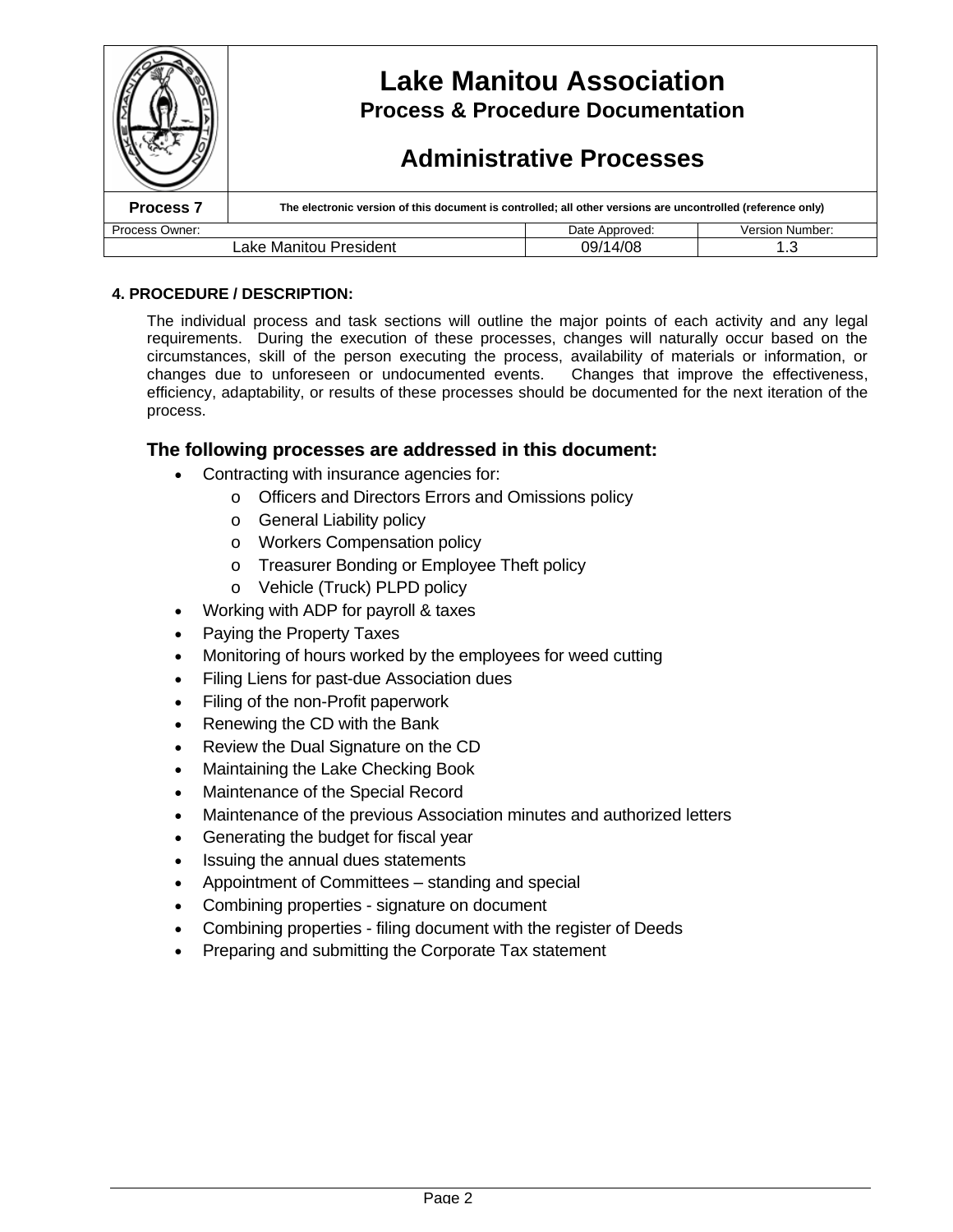|                                           | <b>Lake Manitou Association</b><br><b>Process &amp; Procedure Documentation</b><br><b>Administrative Processes</b> |                |                        |  |
|-------------------------------------------|--------------------------------------------------------------------------------------------------------------------|----------------|------------------------|--|
| Process <sub>7</sub>                      | The electronic version of this document is controlled; all other versions are uncontrolled (reference only)        |                |                        |  |
| Process Owner:                            |                                                                                                                    | Date Approved: | <b>Version Number:</b> |  |
| 09/14/08<br>Lake Manitou President<br>1.3 |                                                                                                                    |                |                        |  |

### **4. PROCEDURE / DESCRIPTION:**

The individual process and task sections will outline the major points of each activity and any legal requirements. During the execution of these processes, changes will naturally occur based on the circumstances, skill of the person executing the process, availability of materials or information, or changes due to unforeseen or undocumented events. Changes that improve the effectiveness, efficiency, adaptability, or results of these processes should be documented for the next iteration of the process.

## **The following processes are addressed in this document:**

- Contracting with insurance agencies for:
	- o Officers and Directors Errors and Omissions policy
	- o General Liability policy
	- o Workers Compensation policy
	- o Treasurer Bonding or Employee Theft policy
	- o Vehicle (Truck) PLPD policy
	- Working with ADP for payroll & taxes
- Paying the Property Taxes
- Monitoring of hours worked by the employees for weed cutting
- Filing Liens for past-due Association dues
- Filing of the non-Profit paperwork
- Renewing the CD with the Bank
- Review the Dual Signature on the CD
- Maintaining the Lake Checking Book
- Maintenance of the Special Record
- Maintenance of the previous Association minutes and authorized letters
- Generating the budget for fiscal year
- Issuing the annual dues statements
- Appointment of Committees standing and special
- Combining properties signature on document
- Combining properties filing document with the register of Deeds
- Preparing and submitting the Corporate Tax statement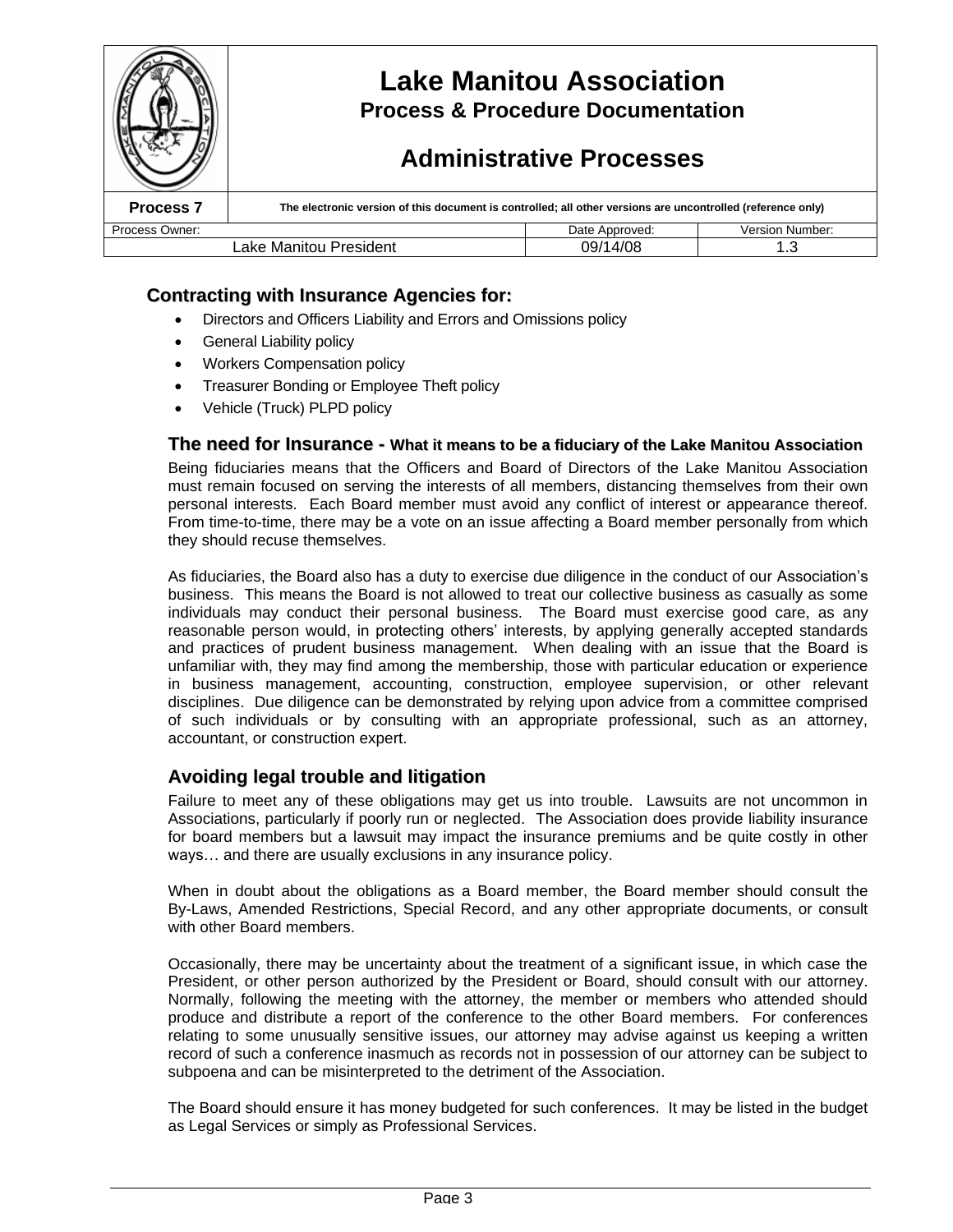

# **Contracting with Insurance Agencies for:**

- Directors and Officers Liability and Errors and Omissions policy
- General Liability policy
- Workers Compensation policy
- Treasurer Bonding or Employee Theft policy
- Vehicle (Truck) PLPD policy

### **The need for Insurance - What it means to be a fiduciary of the Lake Manitou Association**

Being fiduciaries means that the Officers and Board of Directors of the Lake Manitou Association must remain focused on serving the interests of all members, distancing themselves from their own personal interests. Each Board member must avoid any conflict of interest or appearance thereof. From time-to-time, there may be a vote on an issue affecting a Board member personally from which they should recuse themselves.

As fiduciaries, the Board also has a duty to exercise due diligence in the conduct of our Association's business. This means the Board is not allowed to treat our collective business as casually as some individuals may conduct their personal business. The Board must exercise good care, as any reasonable person would, in protecting others' interests, by applying generally accepted standards and practices of prudent business management. When dealing with an issue that the Board is unfamiliar with, they may find among the membership, those with particular education or experience in business management, accounting, construction, employee supervision, or other relevant disciplines. Due diligence can be demonstrated by relying upon advice from a committee comprised of such individuals or by consulting with an appropriate professional, such as an attorney, accountant, or construction expert.

## **Avoiding legal trouble and litigation**

Failure to meet any of these obligations may get us into trouble. Lawsuits are not uncommon in Associations, particularly if poorly run or neglected. The Association does provide liability insurance for board members but a lawsuit may impact the insurance premiums and be quite costly in other ways… and there are usually exclusions in any insurance policy.

When in doubt about the obligations as a Board member, the Board member should consult the By-Laws, Amended Restrictions, Special Record, and any other appropriate documents, or consult with other Board members.

Occasionally, there may be uncertainty about the treatment of a significant issue, in which case the President, or other person authorized by the President or Board, should consult with our attorney. Normally, following the meeting with the attorney, the member or members who attended should produce and distribute a report of the conference to the other Board members. For conferences relating to some unusually sensitive issues, our attorney may advise against us keeping a written record of such a conference inasmuch as records not in possession of our attorney can be subject to subpoena and can be misinterpreted to the detriment of the Association.

The Board should ensure it has money budgeted for such conferences. It may be listed in the budget as Legal Services or simply as Professional Services.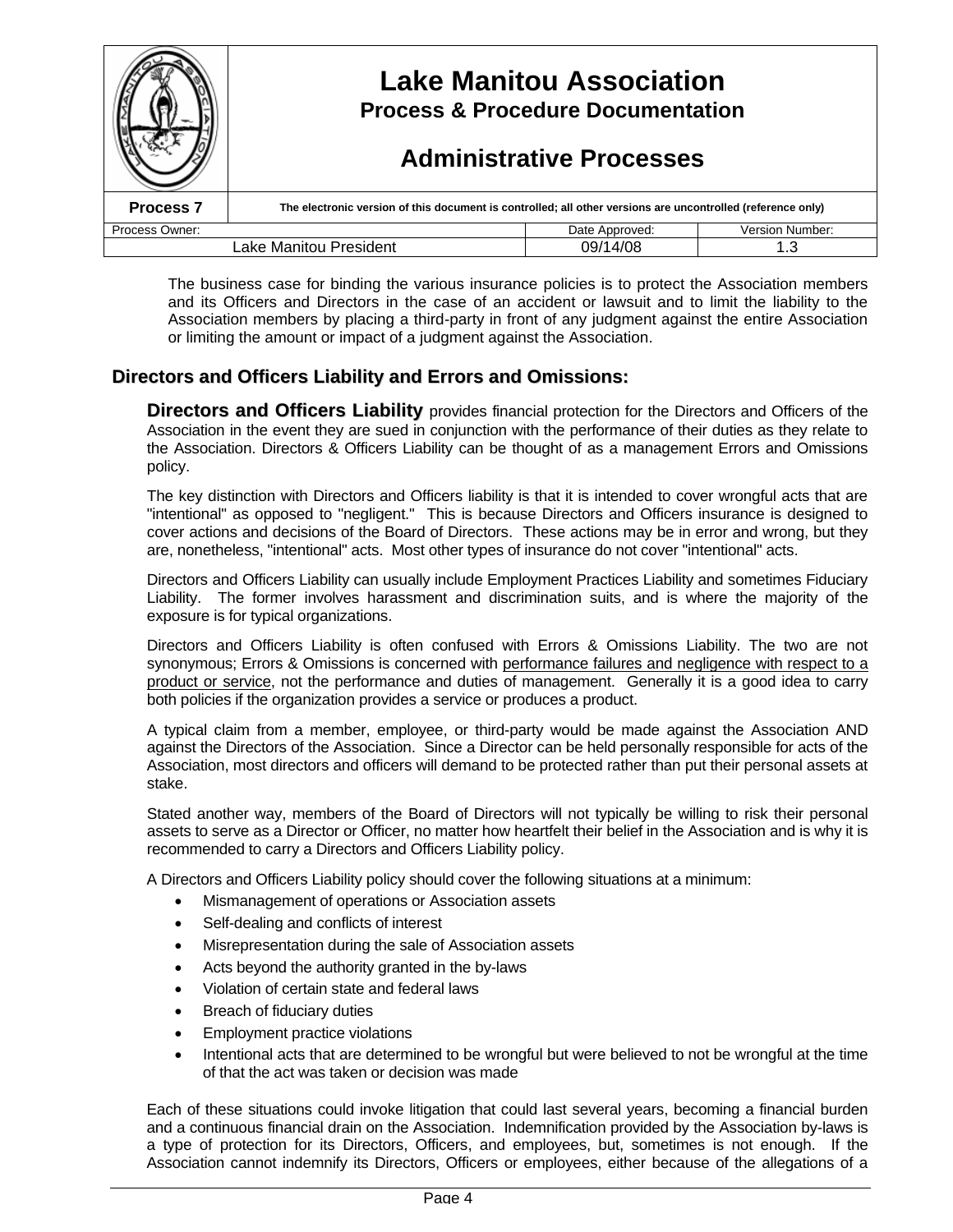|                                           | <b>Lake Manitou Association</b><br><b>Process &amp; Procedure Documentation</b><br><b>Administrative Processes</b> |                |                 |  |
|-------------------------------------------|--------------------------------------------------------------------------------------------------------------------|----------------|-----------------|--|
| <b>Process 7</b>                          | The electronic version of this document is controlled; all other versions are uncontrolled (reference only)        |                |                 |  |
| Process Owner:                            |                                                                                                                    | Date Approved: | Version Number: |  |
| 09/14/08<br>Lake Manitou President<br>1.3 |                                                                                                                    |                |                 |  |

The business case for binding the various insurance policies is to protect the Association members and its Officers and Directors in the case of an accident or lawsuit and to limit the liability to the Association members by placing a third-party in front of any judgment against the entire Association or limiting the amount or impact of a judgment against the Association.

# **Directors and Officers Liability and Errors and Omissions:**

**Directors and Officers Liability** provides financial protection for the Directors and Officers of the Association in the event they are sued in conjunction with the performance of their duties as they relate to the Association. Directors & Officers Liability can be thought of as a management Errors and Omissions policy.

The key distinction with Directors and Officers liability is that it is intended to cover wrongful acts that are "intentional" as opposed to "negligent." This is because Directors and Officers insurance is designed to cover actions and decisions of the Board of Directors. These actions may be in error and wrong, but they are, nonetheless, "intentional" acts. Most other types of insurance do not cover "intentional" acts.

Directors and Officers Liability can usually include Employment Practices Liability and sometimes Fiduciary Liability. The former involves harassment and discrimination suits, and is where the majority of the exposure is for typical organizations.

Directors and Officers Liability is often confused with Errors & Omissions Liability. The two are not synonymous; Errors & Omissions is concerned with performance failures and negligence with respect to a product or service, not the performance and duties of management. Generally it is a good idea to carry both policies if the organization provides a service or produces a product.

A typical claim from a member, employee, or third-party would be made against the Association AND against the Directors of the Association. Since a Director can be held personally responsible for acts of the Association, most directors and officers will demand to be protected rather than put their personal assets at stake.

Stated another way, members of the Board of Directors will not typically be willing to risk their personal assets to serve as a Director or Officer, no matter how heartfelt their belief in the Association and is why it is recommended to carry a Directors and Officers Liability policy.

A Directors and Officers Liability policy should cover the following situations at a minimum:

- Mismanagement of operations or Association assets
- Self-dealing and conflicts of interest
- Misrepresentation during the sale of Association assets
- Acts beyond the authority granted in the by-laws
- Violation of certain state and federal laws
- Breach of fiduciary duties
- Employment practice violations
- Intentional acts that are determined to be wrongful but were believed to not be wrongful at the time of that the act was taken or decision was made

Each of these situations could invoke litigation that could last several years, becoming a financial burden and a continuous financial drain on the Association. Indemnification provided by the Association by-laws is a type of protection for its Directors, Officers, and employees, but, sometimes is not enough. If the Association cannot indemnify its Directors, Officers or employees, either because of the allegations of a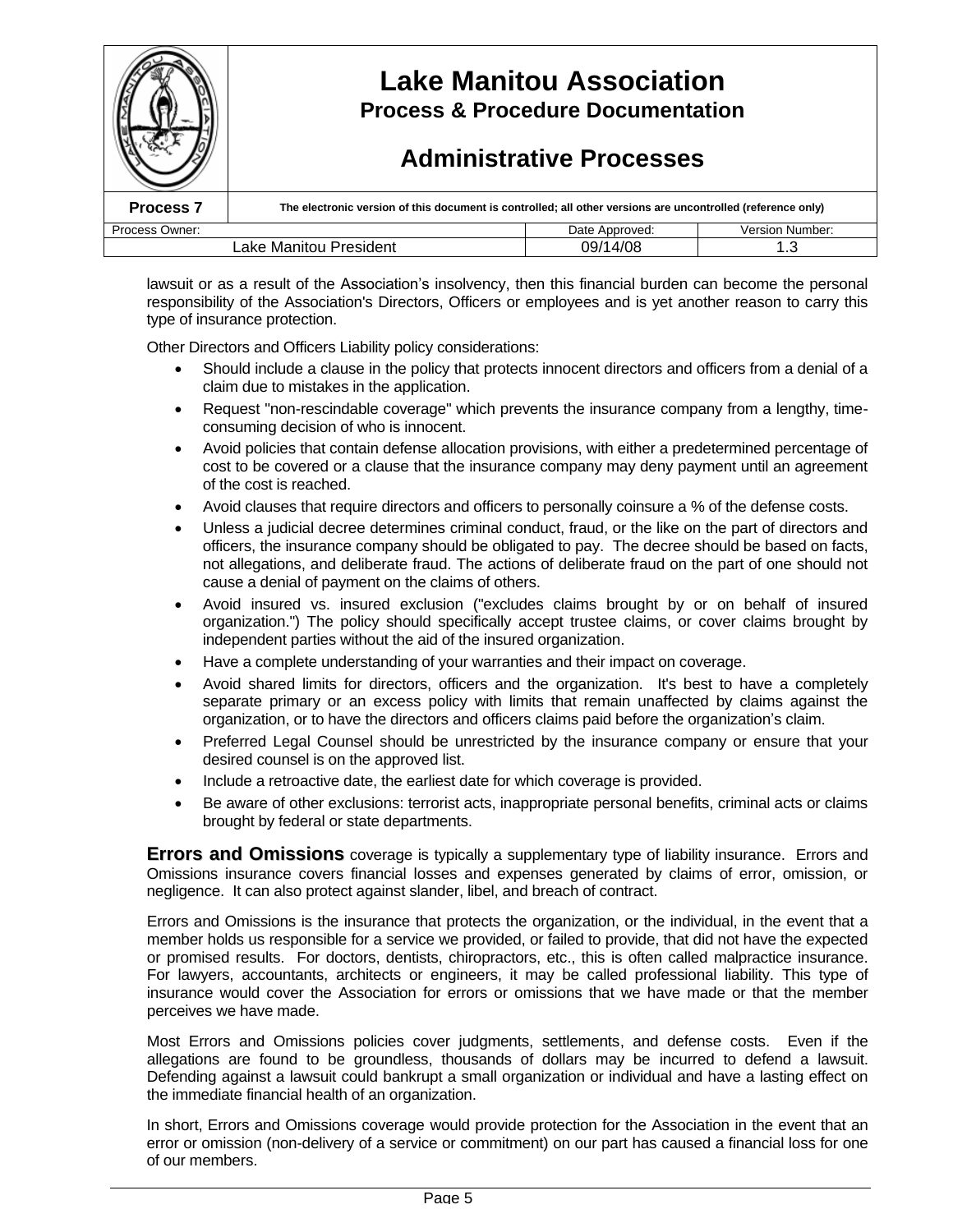

lawsuit or as a result of the Association's insolvency, then this financial burden can become the personal responsibility of the Association's Directors, Officers or employees and is yet another reason to carry this type of insurance protection.

Other Directors and Officers Liability policy considerations:

- Should include a clause in the policy that protects innocent directors and officers from a denial of a claim due to mistakes in the application.
- Request "non-rescindable coverage" which prevents the insurance company from a lengthy, timeconsuming decision of who is innocent.
- Avoid policies that contain defense allocation provisions, with either a predetermined percentage of cost to be covered or a clause that the insurance company may deny payment until an agreement of the cost is reached.
- Avoid clauses that require directors and officers to personally coinsure a % of the defense costs.
- Unless a judicial decree determines criminal conduct, fraud, or the like on the part of directors and officers, the insurance company should be obligated to pay. The decree should be based on facts, not allegations, and deliberate fraud. The actions of deliberate fraud on the part of one should not cause a denial of payment on the claims of others.
- Avoid insured vs. insured exclusion ("excludes claims brought by or on behalf of insured organization.") The policy should specifically accept trustee claims, or cover claims brought by independent parties without the aid of the insured organization.
- Have a complete understanding of your warranties and their impact on coverage.
- Avoid shared limits for directors, officers and the organization. It's best to have a completely separate primary or an excess policy with limits that remain unaffected by claims against the organization, or to have the directors and officers claims paid before the organization's claim.
- Preferred Legal Counsel should be unrestricted by the insurance company or ensure that your desired counsel is on the approved list.
- Include a retroactive date, the earliest date for which coverage is provided.
- Be aware of other exclusions: terrorist acts, inappropriate personal benefits, criminal acts or claims brought by federal or state departments.

**Errors and Omissions** coverage is typically a supplementary type of liability insurance. Errors and Omissions insurance covers financial losses and expenses generated by claims of error, omission, or negligence. It can also protect against slander, libel, and breach of contract.

Errors and Omissions is the insurance that protects the organization, or the individual, in the event that a member holds us responsible for a service we provided, or failed to provide, that did not have the expected or promised results. For doctors, dentists, chiropractors, etc., this is often called malpractice insurance. For lawyers, accountants, architects or engineers, it may be called professional liability. This type of insurance would cover the Association for errors or omissions that we have made or that the member perceives we have made.

Most Errors and Omissions policies cover judgments, settlements, and defense costs. Even if the allegations are found to be groundless, thousands of dollars may be incurred to defend a lawsuit. Defending against a lawsuit could bankrupt a small organization or individual and have a lasting effect on the immediate financial health of an organization.

In short, Errors and Omissions coverage would provide protection for the Association in the event that an error or omission (non-delivery of a service or commitment) on our part has caused a financial loss for one of our members.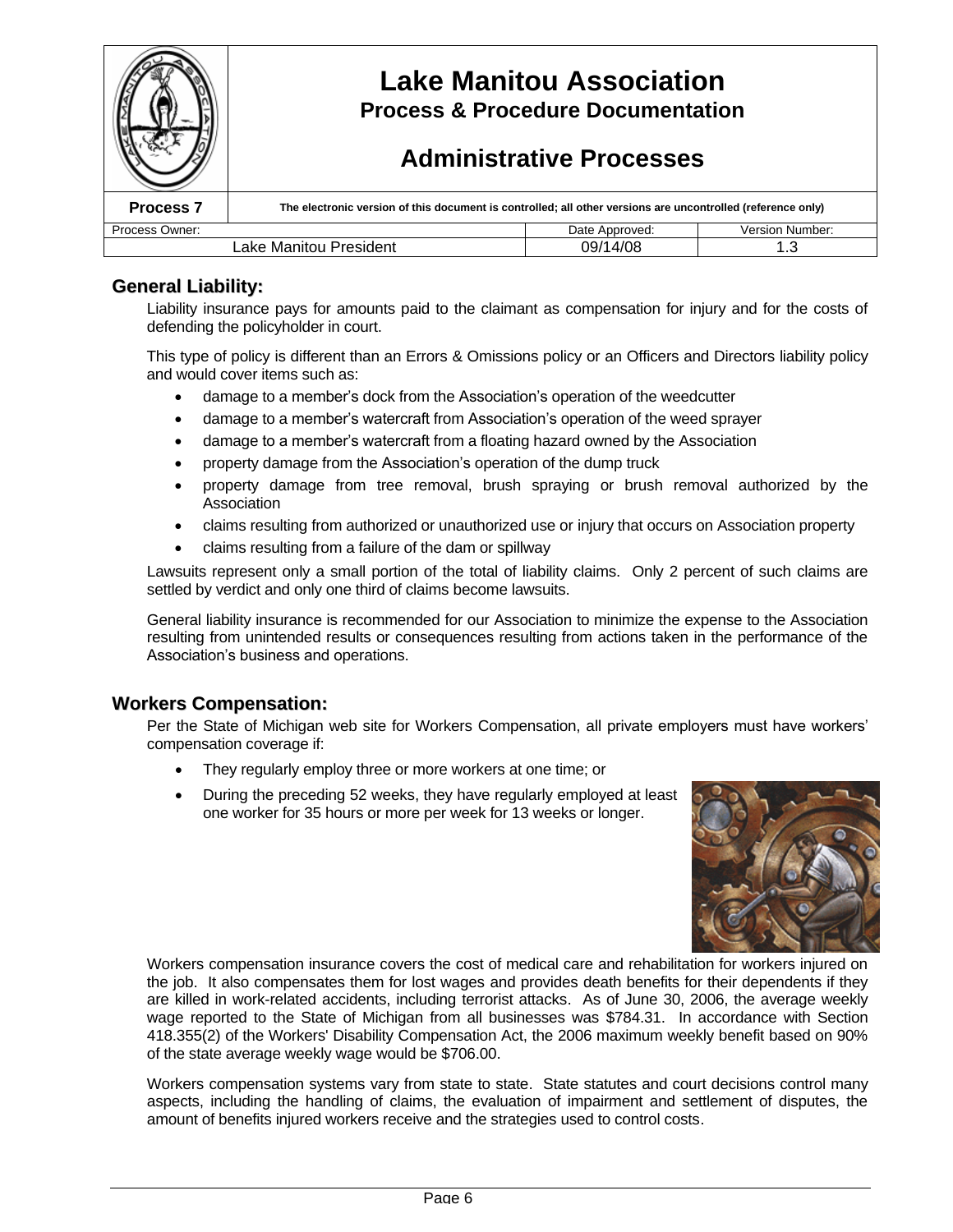

# **General Liability:**

Liability insurance pays for amounts paid to the claimant as compensation for injury and for the costs of defending the policyholder in court.

This type of policy is different than an Errors & Omissions policy or an Officers and Directors liability policy and would cover items such as:

- damage to a member's dock from the Association's operation of the weedcutter
- damage to a member's watercraft from Association's operation of the weed sprayer
- damage to a member's watercraft from a floating hazard owned by the Association
- property damage from the Association's operation of the dump truck
- property damage from tree removal, brush spraying or brush removal authorized by the Association
- claims resulting from authorized or unauthorized use or injury that occurs on Association property
- claims resulting from a failure of the dam or spillway

Lawsuits represent only a small portion of the total of liability claims. Only 2 percent of such claims are settled by verdict and only one third of claims become lawsuits.

General liability insurance is recommended for our Association to minimize the expense to the Association resulting from unintended results or consequences resulting from actions taken in the performance of the Association's business and operations.

## **Workers Compensation:**

Per the State of Michigan web site for Workers Compensation, all private employers must have workers' compensation coverage if:

- They regularly employ three or more workers at one time; or
- During the preceding 52 weeks, they have regularly employed at least one worker for 35 hours or more per week for 13 weeks or longer.



Workers compensation insurance covers the cost of medical care and rehabilitation for workers injured on the job. It also compensates them for lost wages and provides death benefits for their dependents if they are killed in work-related accidents, including terrorist attacks. As of June 30, 2006, the average weekly wage reported to the State of Michigan from all businesses was \$784.31. In accordance with Section 418.355(2) of the Workers' Disability Compensation Act, the 2006 maximum weekly benefit based on 90% of the state average weekly wage would be \$706.00.

Workers compensation systems vary from state to state. State statutes and court decisions control many aspects, including the handling of claims, the evaluation of impairment and settlement of disputes, the amount of benefits injured workers receive and the strategies used to control costs.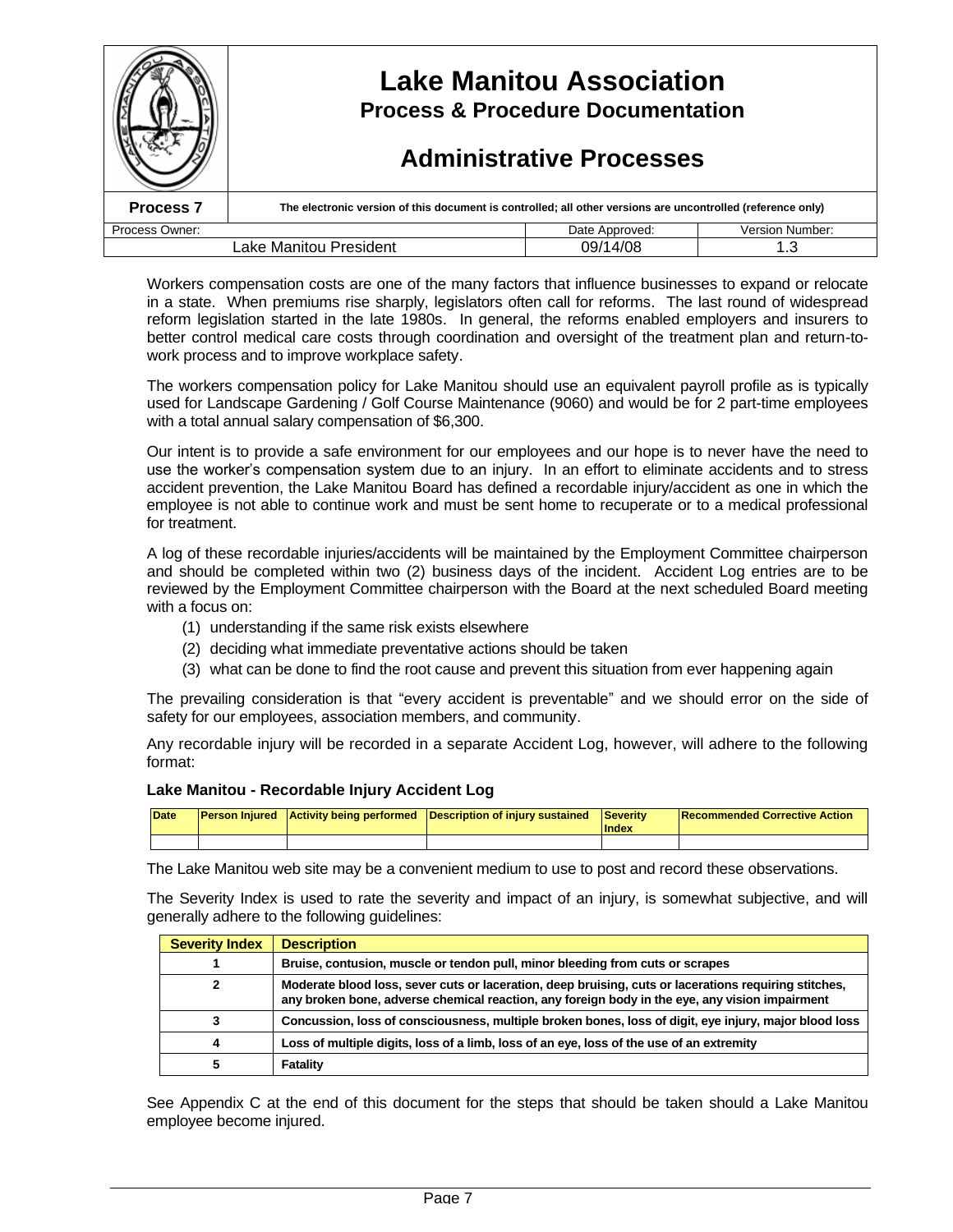|                                    | <b>Lake Manitou Association</b><br><b>Process &amp; Procedure Documentation</b><br><b>Administrative Processes</b> |                |                        |  |
|------------------------------------|--------------------------------------------------------------------------------------------------------------------|----------------|------------------------|--|
| <b>Process 7</b>                   | The electronic version of this document is controlled; all other versions are uncontrolled (reference only)        |                |                        |  |
| Process Owner:                     |                                                                                                                    | Date Approved: | <b>Version Number:</b> |  |
| 09/14/08<br>Lake Manitou President |                                                                                                                    |                |                        |  |

Workers compensation costs are one of the many factors that influence businesses to expand or relocate in a state. When premiums rise sharply, legislators often call for reforms. The last round of widespread reform legislation started in the late 1980s. In general, the reforms enabled employers and insurers to better control medical care costs through coordination and oversight of the treatment plan and return-towork process and to improve workplace safety.

The workers compensation policy for Lake Manitou should use an equivalent payroll profile as is typically used for Landscape Gardening / Golf Course Maintenance (9060) and would be for 2 part-time employees with a total annual salary compensation of \$6,300.

Our intent is to provide a safe environment for our employees and our hope is to never have the need to use the worker's compensation system due to an injury. In an effort to eliminate accidents and to stress accident prevention, the Lake Manitou Board has defined a recordable injury/accident as one in which the employee is not able to continue work and must be sent home to recuperate or to a medical professional for treatment.

A log of these recordable injuries/accidents will be maintained by the Employment Committee chairperson and should be completed within two (2) business days of the incident. Accident Log entries are to be reviewed by the Employment Committee chairperson with the Board at the next scheduled Board meeting with a focus on:

- (1) understanding if the same risk exists elsewhere
- (2) deciding what immediate preventative actions should be taken
- (3) what can be done to find the root cause and prevent this situation from ever happening again

The prevailing consideration is that "every accident is preventable"and we should error on the side of safety for our employees, association members, and community.

Any recordable injury will be recorded in a separate Accident Log, however, will adhere to the following format:

#### **Lake Manitou - Recordable Injury Accident Log**

| <b>Date</b> |  | <b>Person Injured</b> Activity being performed Description of injury sustained Severity | <b>Index</b> | <b>Recommended Corrective Action</b> |
|-------------|--|-----------------------------------------------------------------------------------------|--------------|--------------------------------------|
|             |  |                                                                                         |              |                                      |

The Lake Manitou web site may be a convenient medium to use to post and record these observations.

The Severity Index is used to rate the severity and impact of an injury, is somewhat subjective, and will generally adhere to the following guidelines:

| <b>Severity Index</b> | <b>Description</b>                                                                                                                                                                                      |
|-----------------------|---------------------------------------------------------------------------------------------------------------------------------------------------------------------------------------------------------|
|                       | Bruise, contusion, muscle or tendon pull, minor bleeding from cuts or scrapes                                                                                                                           |
|                       | Moderate blood loss, sever cuts or laceration, deep bruising, cuts or lacerations requiring stitches,<br>any broken bone, adverse chemical reaction, any foreign body in the eye, any vision impairment |
|                       | Concussion, loss of consciousness, multiple broken bones, loss of digit, eye injury, major blood loss                                                                                                   |
|                       | Loss of multiple digits, loss of a limb, loss of an eye, loss of the use of an extremity                                                                                                                |
|                       | Fatality                                                                                                                                                                                                |

See Appendix C at the end of this document for the steps that should be taken should a Lake Manitou employee become injured.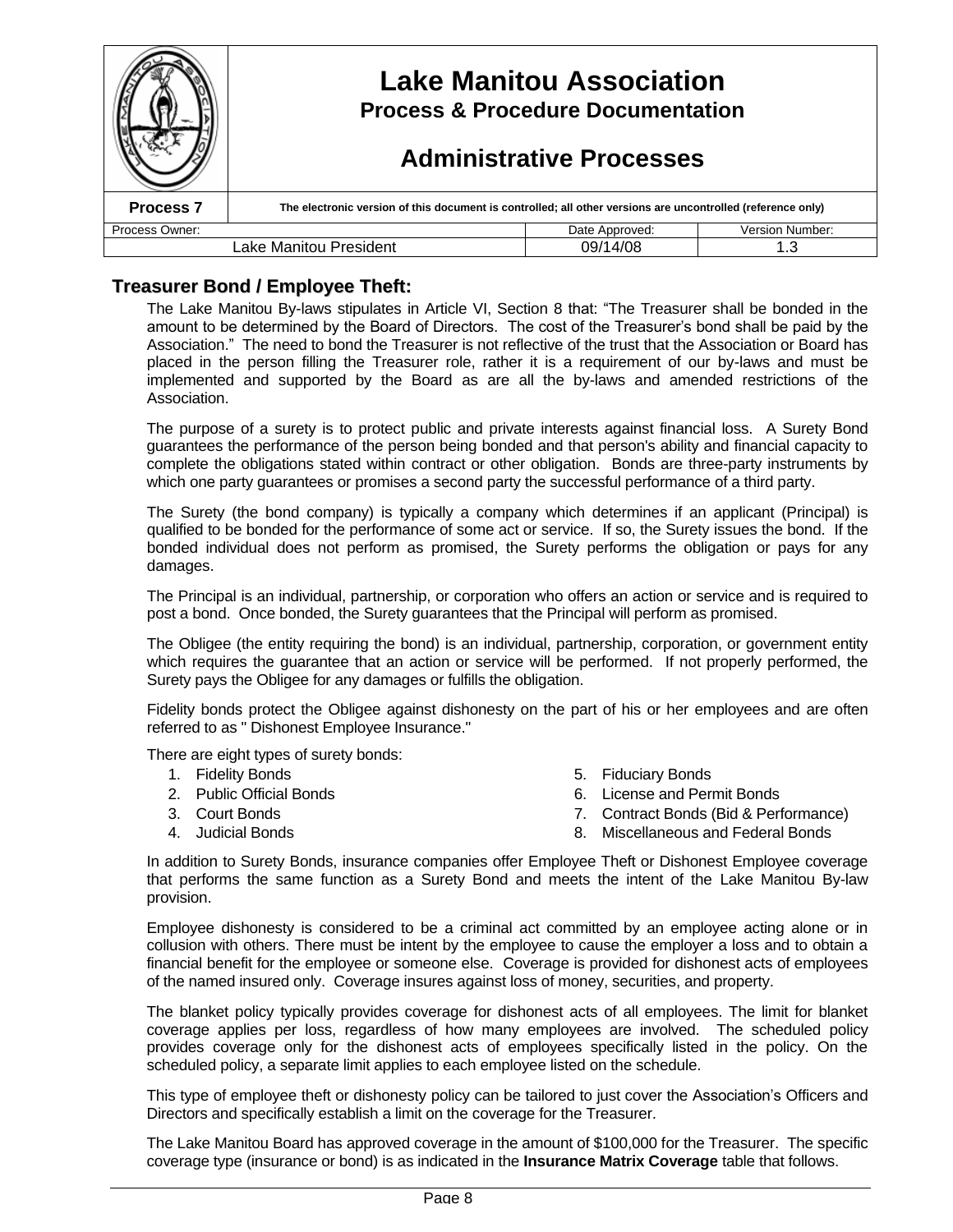|                                    | <b>Lake Manitou Association</b><br><b>Process &amp; Procedure Documentation</b><br><b>Administrative Processes</b> |                |                 |  |
|------------------------------------|--------------------------------------------------------------------------------------------------------------------|----------------|-----------------|--|
| <b>Process 7</b>                   | The electronic version of this document is controlled; all other versions are uncontrolled (reference only)        |                |                 |  |
| Process Owner:                     |                                                                                                                    | Date Approved: | Version Number: |  |
| 09/14/08<br>Lake Manitou President |                                                                                                                    |                |                 |  |

# **Treasurer Bond / Employee Theft:**

The Lake Manitou By-laws stipulates in Article VI, Section 8 that: "The Treasurer shall be bonded in the amount to be determined by the Board of Directors. The cost of the Treasurer's bond shall be paid by the Association." The need to bond the Treasurer is not reflective of the trust that the Association or Board has placed in the person filling the Treasurer role, rather it is a requirement of our by-laws and must be implemented and supported by the Board as are all the by-laws and amended restrictions of the Association.

The purpose of a surety is to protect public and private interests against financial loss. A Surety Bond guarantees the performance of the person being bonded and that person's ability and financial capacity to complete the obligations stated within contract or other obligation. Bonds are three-party instruments by which one party guarantees or promises a second party the successful performance of a third party.

The Surety (the bond company) is typically a company which determines if an applicant (Principal) is qualified to be bonded for the performance of some act or service. If so, the Surety issues the bond. If the bonded individual does not perform as promised, the Surety performs the obligation or pays for any damages.

The Principal is an individual, partnership, or corporation who offers an action or service and is required to post a bond. Once bonded, the Surety guarantees that the Principal will perform as promised.

The Obligee (the entity requiring the bond) is an individual, partnership, corporation, or government entity which requires the guarantee that an action or service will be performed. If not properly performed, the Surety pays the Obligee for any damages or fulfills the obligation.

Fidelity bonds protect the Obligee against dishonesty on the part of his or her employees and are often referred to as " Dishonest Employee Insurance."

There are eight types of surety bonds:

- 1. Fidelity Bonds
- 2. Public Official Bonds
- 3. Court Bonds
- 4. Judicial Bonds
- 5. Fiduciary Bonds
- 6. License and Permit Bonds
- 7. Contract Bonds (Bid & Performance)
- 8. Miscellaneous and Federal Bonds

In addition to Surety Bonds, insurance companies offer Employee Theft or Dishonest Employee coverage that performs the same function as a Surety Bond and meets the intent of the Lake Manitou By-law provision.

Employee dishonesty is considered to be a criminal act committed by an employee acting alone or in collusion with others. There must be intent by the employee to cause the employer a loss and to obtain a financial benefit for the employee or someone else. Coverage is provided for dishonest acts of employees of the named insured only. Coverage insures against loss of money, securities, and property.

The blanket policy typically provides coverage for dishonest acts of all employees. The limit for blanket coverage applies per loss, regardless of how many employees are involved. The scheduled policy provides coverage only for the dishonest acts of employees specifically listed in the policy. On the scheduled policy, a separate limit applies to each employee listed on the schedule.

This type of employee theft or dishonesty policy can be tailored to just cover the Association's Officers and Directors and specifically establish a limit on the coverage for the Treasurer.

The Lake Manitou Board has approved coverage in the amount of \$100,000 for the Treasurer. The specific coverage type (insurance or bond) is as indicated in the **Insurance Matrix Coverage** table that follows.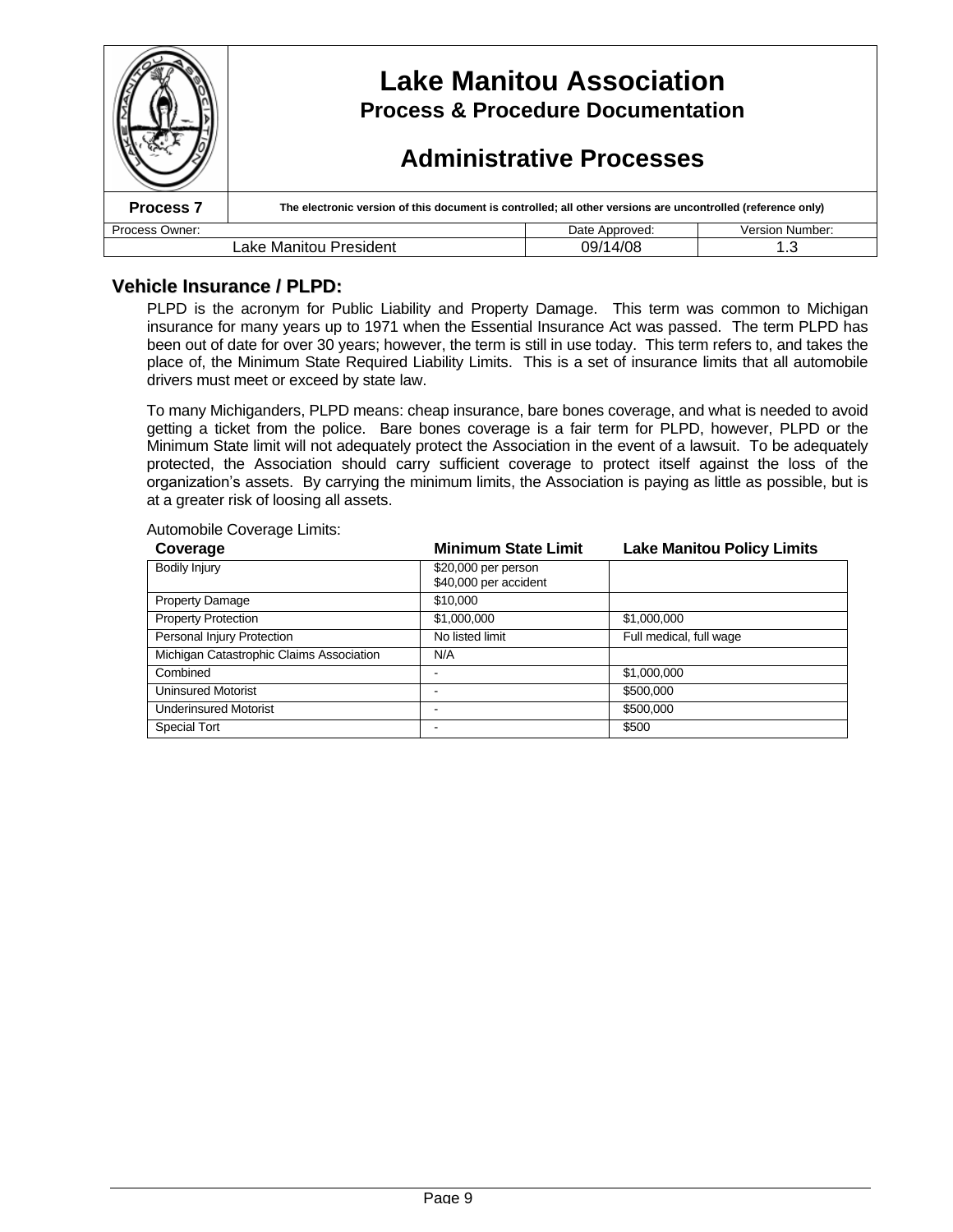|                                           | <b>Lake Manitou Association</b><br><b>Process &amp; Procedure Documentation</b><br><b>Administrative Processes</b> |                |                 |  |
|-------------------------------------------|--------------------------------------------------------------------------------------------------------------------|----------------|-----------------|--|
| <b>Process 7</b>                          | The electronic version of this document is controlled; all other versions are uncontrolled (reference only)        |                |                 |  |
| Process Owner:                            |                                                                                                                    | Date Approved: | Version Number: |  |
| Lake Manitou President<br>09/14/08<br>1.3 |                                                                                                                    |                |                 |  |

# **Vehicle Insurance / PLPD:**

PLPD is the acronym for Public Liability and Property Damage. This term was common to Michigan insurance for many years up to 1971 when the Essential Insurance Act was passed. The term PLPD has been out of date for over 30 years; however, the term is still in use today. This term refers to, and takes the place of, the Minimum State Required Liability Limits. This is a set of insurance limits that all automobile drivers must meet or exceed by state law.

To many Michiganders, PLPD means: cheap insurance, bare bones coverage, and what is needed to avoid getting a ticket from the police. Bare bones coverage is a fair term for PLPD, however, PLPD or the Minimum State limit will not adequately protect the Association in the event of a lawsuit. To be adequately protected, the Association should carry sufficient coverage to protect itself against the loss of the organization'sassets. By carrying the minimum limits, the Association is paying as little as possible, but is at a greater risk of loosing all assets.

Automobile Coverage Limits:

| Coverage                                 | <b>Minimum State Limit</b>                   | <b>Lake Manitou Policy Limits</b> |
|------------------------------------------|----------------------------------------------|-----------------------------------|
| Bodily Injury                            | \$20,000 per person<br>\$40,000 per accident |                                   |
| <b>Property Damage</b>                   | \$10,000                                     |                                   |
| <b>Property Protection</b>               | \$1,000,000                                  | \$1,000,000                       |
| Personal Injury Protection               | No listed limit                              | Full medical, full wage           |
| Michigan Catastrophic Claims Association | N/A                                          |                                   |
| Combined                                 |                                              | \$1,000,000                       |
| <b>Uninsured Motorist</b>                |                                              | \$500,000                         |
| <b>Underinsured Motorist</b>             |                                              | \$500,000                         |
| <b>Special Tort</b>                      |                                              | \$500                             |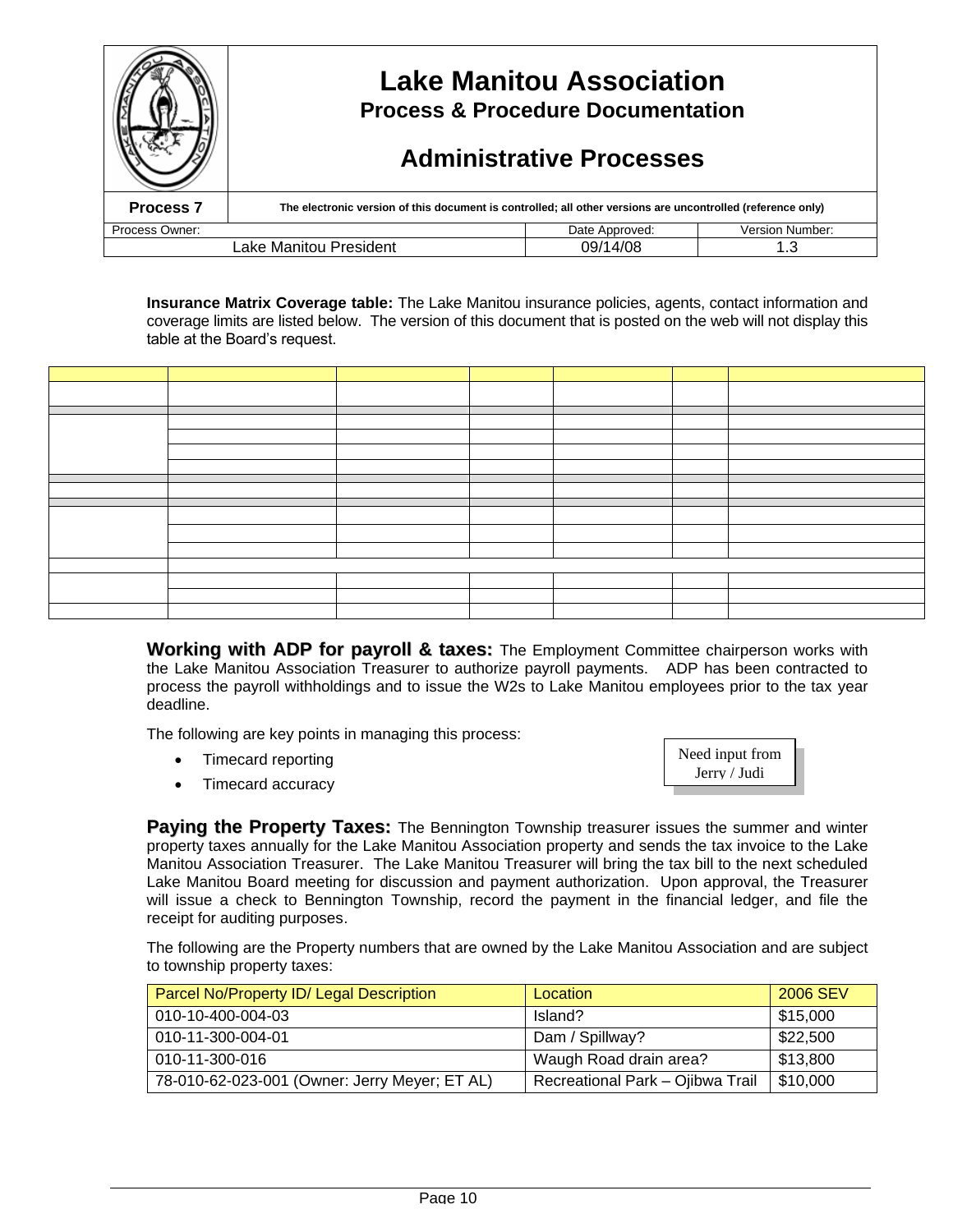|                                           | <b>Lake Manitou Association</b><br><b>Process &amp; Procedure Documentation</b><br><b>Administrative Processes</b> |                |                        |  |  |
|-------------------------------------------|--------------------------------------------------------------------------------------------------------------------|----------------|------------------------|--|--|
| Process <sub>7</sub>                      | The electronic version of this document is controlled; all other versions are uncontrolled (reference only)        |                |                        |  |  |
| Process Owner:                            |                                                                                                                    | Date Approved: | <b>Version Number:</b> |  |  |
| 09/14/08<br>Lake Manitou President<br>1.3 |                                                                                                                    |                |                        |  |  |

**Insurance Matrix Coverage table:** The Lake Manitou insurance policies, agents, contact information and coverage limits are listed below. The version of this document that is posted on the web will not display this table at the Board's request.

**Working with ADP for payroll & taxes:** The Employment Committee chairperson works with the Lake Manitou Association Treasurer to authorize payroll payments. ADP has been contracted to process the payroll withholdings and to issue the W2s to Lake Manitou employees prior to the tax year deadline.

The following are key points in managing this process:

- Timecard reporting
- Timecard accuracy



**Paying the Property Taxes:** The Bennington Township treasurer issues the summer and winter property taxes annually for the Lake Manitou Association property and sends the tax invoice to the Lake Manitou Association Treasurer. The Lake Manitou Treasurer will bring the tax bill to the next scheduled Lake Manitou Board meeting for discussion and payment authorization. Upon approval, the Treasurer will issue a check to Bennington Township, record the payment in the financial ledger, and file the receipt for auditing purposes.

The following are the Property numbers that are owned by the Lake Manitou Association and are subject to township property taxes:

| Parcel No/Property ID/ Legal Description      | Location                         | 2006 SEV |
|-----------------------------------------------|----------------------------------|----------|
| 010-10-400-004-03                             | Island?                          | \$15,000 |
| 010-11-300-004-01                             | Dam / Spillway?                  | \$22,500 |
| 010-11-300-016                                | Waugh Road drain area?           | \$13,800 |
| 78-010-62-023-001 (Owner: Jerry Meyer; ET AL) | Recreational Park - Ojibwa Trail | \$10,000 |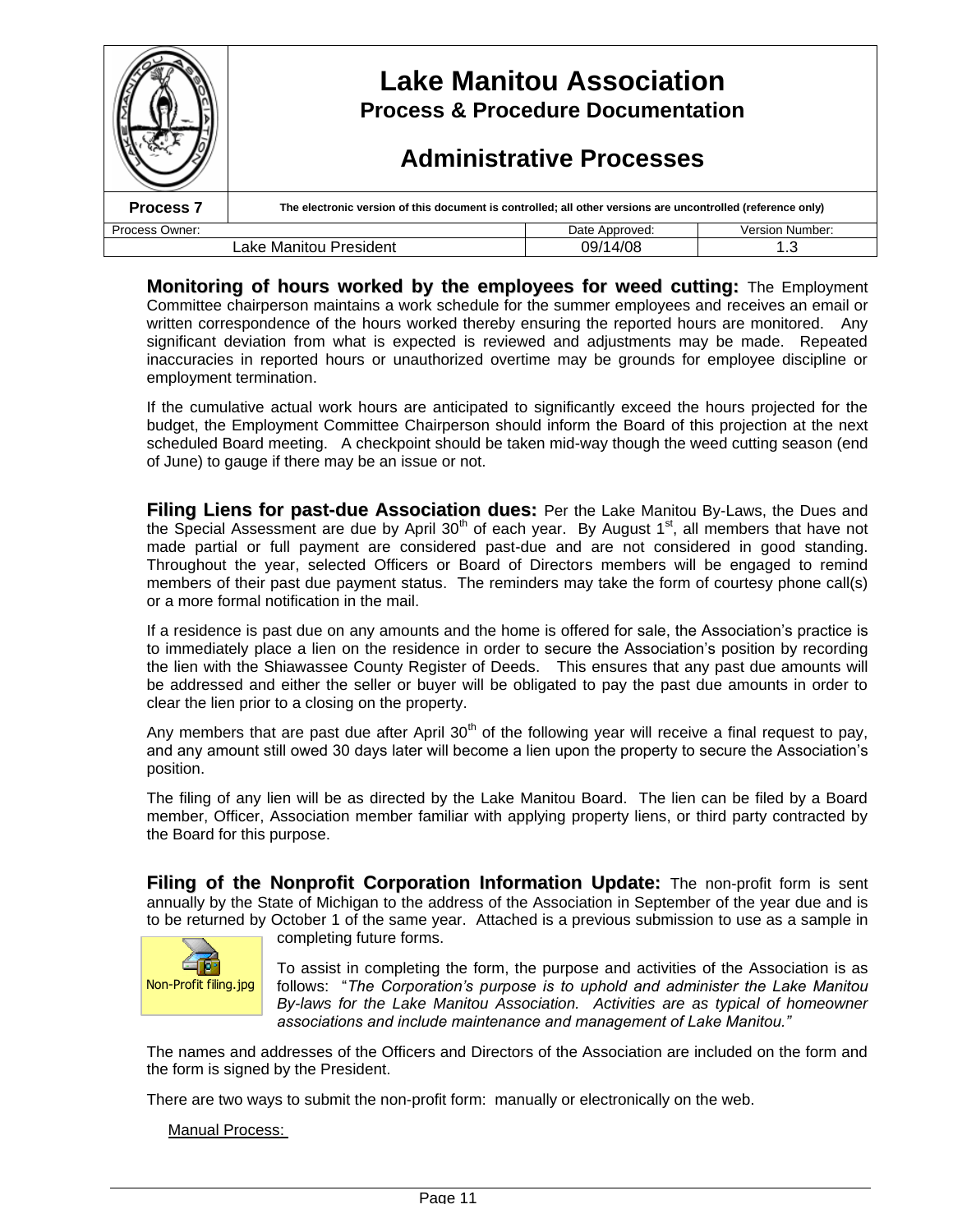|                      | <b>Lake Manitou Association</b><br><b>Process &amp; Procedure Documentation</b><br><b>Administrative Processes</b> |                |                        |
|----------------------|--------------------------------------------------------------------------------------------------------------------|----------------|------------------------|
| Process <sub>7</sub> | The electronic version of this document is controlled; all other versions are uncontrolled (reference only)        |                |                        |
| Process Owner:       |                                                                                                                    | Date Approved: | <b>Version Number:</b> |
|                      | Lake Manitou President                                                                                             | 09/14/08       | 1.3                    |

**Monitoring of hours worked by the employees for weed cutting:** The Employment Committee chairperson maintains a work schedule for the summer employees and receives an email or written correspondence of the hours worked thereby ensuring the reported hours are monitored. Any significant deviation from what is expected is reviewed and adjustments may be made. Repeated inaccuracies in reported hours or unauthorized overtime may be grounds for employee discipline or employment termination.

If the cumulative actual work hours are anticipated to significantly exceed the hours projected for the budget, the Employment Committee Chairperson should inform the Board of this projection at the next scheduled Board meeting. A checkpoint should be taken mid-way though the weed cutting season (end of June) to gauge if there may be an issue or not.

**Filing Liens for past-due Association dues:** Per the Lake Manitou By-Laws, the Dues and the Special Assessment are due by April 30<sup>th</sup> of each year. By August 1<sup>st</sup>, all members that have not made partial or full payment are considered past-due and are not considered in good standing. Throughout the year, selected Officers or Board of Directors members will be engaged to remind members of their past due payment status. The reminders may take the form of courtesy phone call(s) or a more formal notification in the mail.

If a residence is past due on any amounts and the home is offered for sale, the Association's practice is to immediately place a lien on the residence in order to secure the Association's position by recording the lien with the Shiawassee County Register of Deeds. This ensures that any past due amounts will be addressed and either the seller or buyer will be obligated to pay the past due amounts in order to clear the lien prior to a closing on the property.

Any members that are past due after April  $30<sup>th</sup>$  of the following year will receive a final request to pay, and any amount still owed 30 days later will become a lien upon the property to secure the Association's position.

The filing of any lien will be as directed by the Lake Manitou Board. The lien can be filed by a Board member, Officer, Association member familiar with applying property liens, or third party contracted by the Board for this purpose.

**Filing of the Nonprofit Corporation Information Update:** The non-profit form is sent annually by the State of Michigan to the address of the Association in September of the year due and is to be returned by October 1 of the same year. Attached is a previous submission to use as a sample in completing future forms.



To assist in completing the form, the purpose and activities of the Association is as follows: "The Corporation's purpose is to uphold and administer the Lake Manitou *By-laws for the Lake Manitou Association. Activities are as typical of homeowner* associations and include maintenance and management of Lake Manitou."

The names and addresses of the Officers and Directors of the Association are included on the form and the form is signed by the President.

There are two ways to submit the non-profit form: manually or electronically on the web.

Manual Process: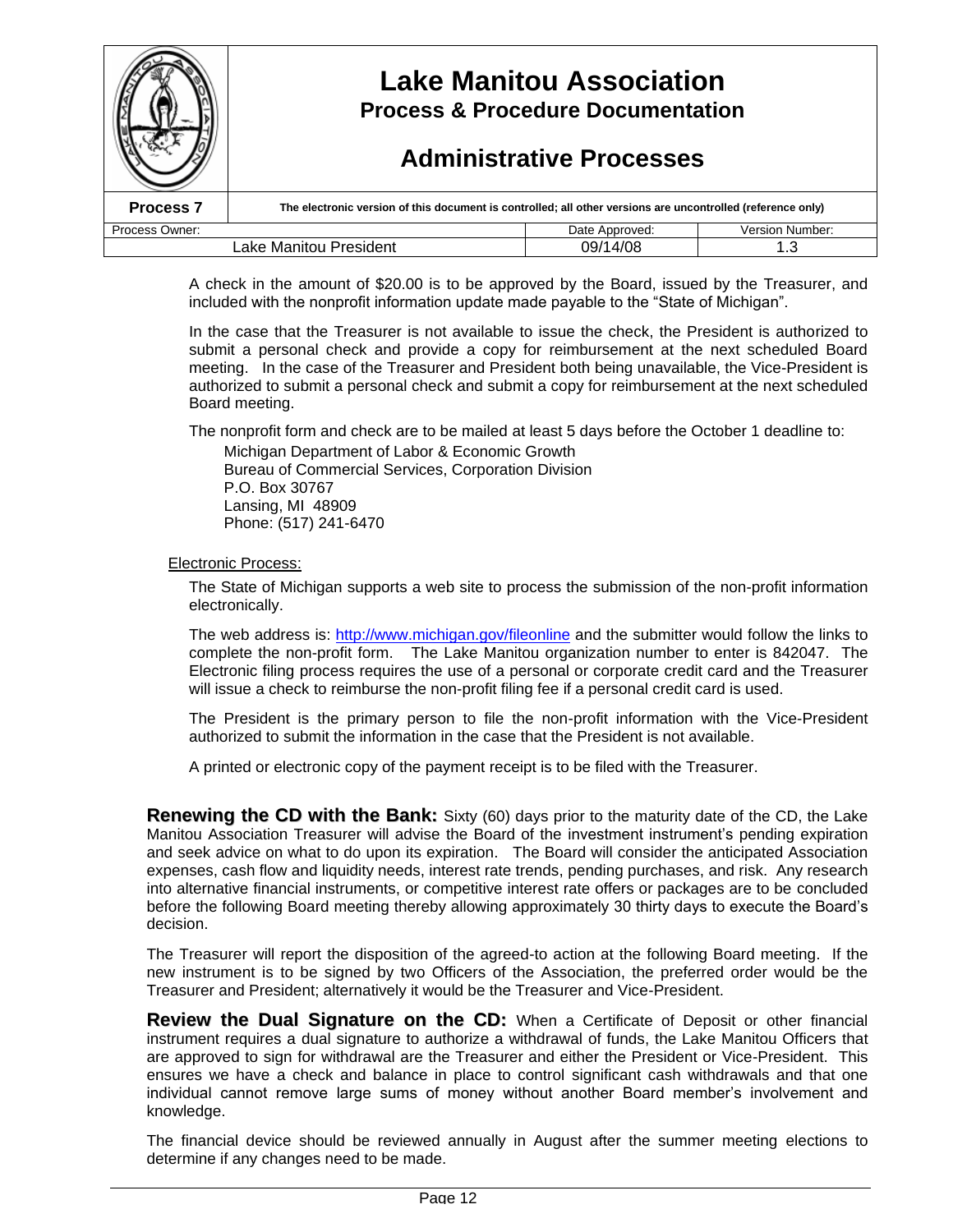|                        | <b>Lake Manitou Association</b><br><b>Process &amp; Procedure Documentation</b><br><b>Administrative Processes</b> |                |                 |
|------------------------|--------------------------------------------------------------------------------------------------------------------|----------------|-----------------|
| <b>Process 7</b>       | The electronic version of this document is controlled; all other versions are uncontrolled (reference only)        |                |                 |
| Process Owner:         |                                                                                                                    | Date Approved: | Version Number: |
| Lake Manitou President |                                                                                                                    | 09/14/08       |                 |

A check in the amount of \$20.00 is to be approved by the Board, issued by the Treasurer, and included with the nonprofit information update made payable to the "State of Michigan".

In the case that the Treasurer is not available to issue the check, the President is authorized to submit a personal check and provide a copy for reimbursement at the next scheduled Board meeting. In the case of the Treasurer and President both being unavailable, the Vice-President is authorized to submit a personal check and submit a copy for reimbursement at the next scheduled Board meeting.

The nonprofit form and check are to be mailed at least 5 days before the October 1 deadline to:

Michigan Department of Labor & Economic Growth Bureau of Commercial Services, Corporation Division P.O. Box 30767 Lansing, MI 48909 Phone: (517) 241-6470

Electronic Process:

The State of Michigan supports a web site to process the submission of the non-profit information electronically.

The web address is: http://www.michigan.gov/fileonline and the submitter would follow the links to complete the non-profit form. The Lake Manitou organization number to enter is 842047. The Electronic filing process requires the use of a personal or corporate credit card and the Treasurer will issue a check to reimburse the non-profit filing fee if a personal credit card is used.

The President is the primary person to file the non-profit information with the Vice-President authorized to submit the information in the case that the President is not available.

A printed or electronic copy of the payment receipt is to be filed with the Treasurer.

**Renewing the CD with the Bank:** Sixty (60) days prior to the maturity date of the CD, the Lake Manitou Association Treasurer will advise the Board of the investment instrument's pending expiration and seek advice on what to do upon its expiration. The Board will consider the anticipated Association expenses, cash flow and liquidity needs, interest rate trends, pending purchases, and risk. Any research into alternative financial instruments, or competitive interest rate offers or packages are to be concluded before the following Board meeting thereby allowing approximately 30 thirty days to execute the Board's decision.

The Treasurer will report the disposition of the agreed-to action at the following Board meeting. If the new instrument is to be signed by two Officers of the Association, the preferred order would be the Treasurer and President; alternatively it would be the Treasurer and Vice-President.

**Review the Dual Signature on the CD:** When a Certificate of Deposit or other financial instrument requires a dual signature to authorize a withdrawal of funds, the Lake Manitou Officers that are approved to sign for withdrawal are the Treasurer and either the President or Vice-President. This ensures we have a check and balance in place to control significant cash withdrawals and that one individual cannot remove large sums of money without another Board member's involvement and knowledge.

The financial device should be reviewed annually in August after the summer meeting elections to determine if any changes need to be made.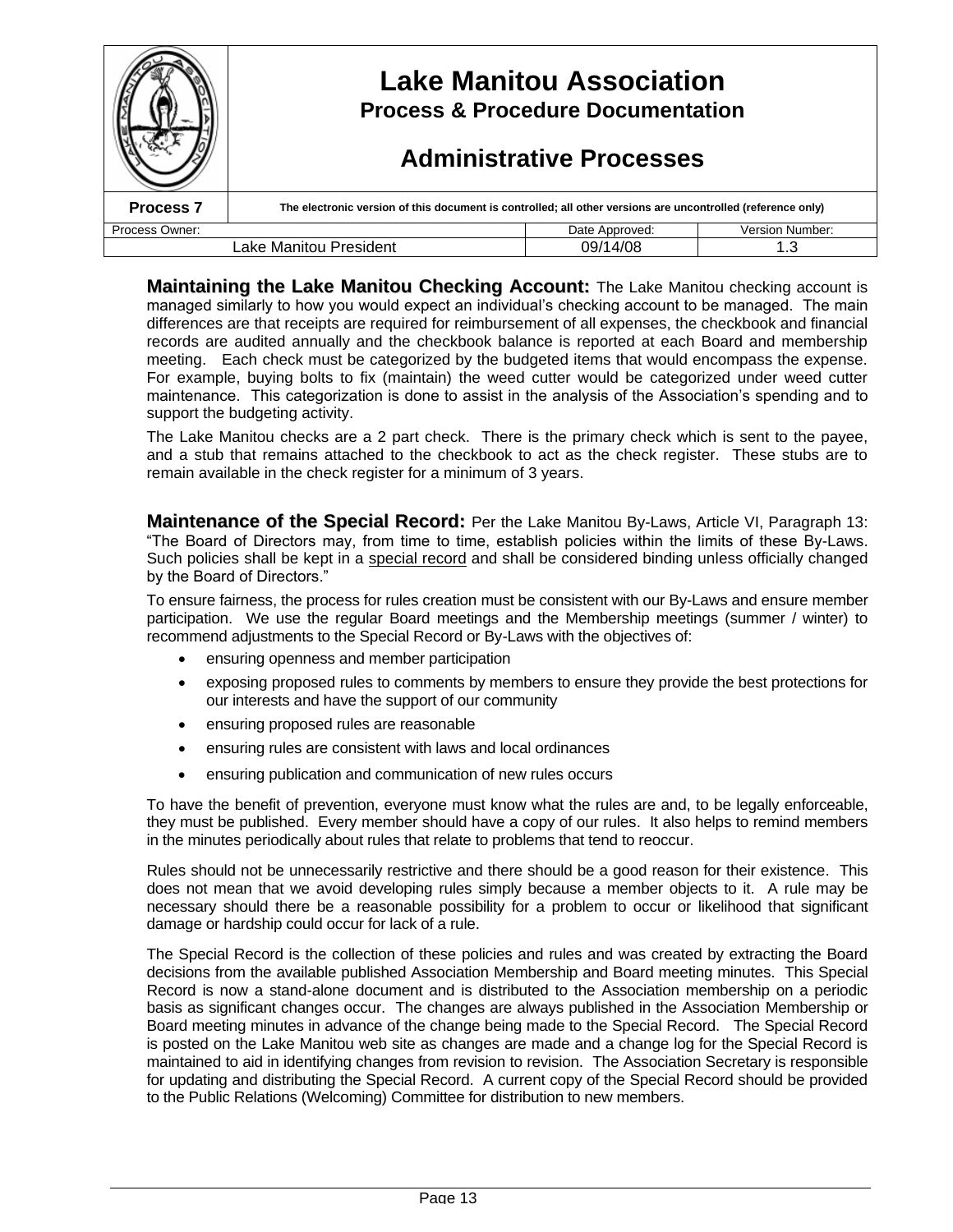|                  | <b>Lake Manitou Association</b><br><b>Process &amp; Procedure Documentation</b><br><b>Administrative Processes</b> |                |                        |
|------------------|--------------------------------------------------------------------------------------------------------------------|----------------|------------------------|
| <b>Process 7</b> | The electronic version of this document is controlled; all other versions are uncontrolled (reference only)        |                |                        |
| Process Owner:   |                                                                                                                    | Date Approved: | <b>Version Number:</b> |
|                  | Lake Manitou President                                                                                             | 09/14/08       | 1.3                    |

**Maintaining the Lake Manitou Checking Account:** The Lake Manitou checking account is managed similarly to how you would expect an individual's checking account to be managed. The main differences are that receipts are required for reimbursement of all expenses, the checkbook and financial records are audited annually and the checkbook balance is reported at each Board and membership meeting. Each check must be categorized by the budgeted items that would encompass the expense. For example, buying bolts to fix (maintain) the weed cutter would be categorized under weed cutter maintenance. This categorization is done to assist in the analysis of the Association's spending and to support the budgeting activity.

The Lake Manitou checks are a 2 part check. There is the primary check which is sent to the payee, and a stub that remains attached to the checkbook to act as the check register. These stubs are to remain available in the check register for a minimum of 3 years.

**Maintenance of the Special Record:** Per the Lake Manitou By-Laws, Article VI, Paragraph 13: "The Board of Directors may, from time to time, establish policies within the limits of these By-Laws. Such policies shall be kept in a special record and shall be considered binding unless officially changed by the Board of Directors."

To ensure fairness, the process for rules creation must be consistent with our By-Laws and ensure member participation. We use the regular Board meetings and the Membership meetings (summer / winter) to recommend adjustments to the Special Record or By-Laws with the objectives of:

- ensuring openness and member participation
- exposing proposed rules to comments by members to ensure they provide the best protections for our interests and have the support of our community
- ensuring proposed rules are reasonable
- ensuring rules are consistent with laws and local ordinances
- ensuring publication and communication of new rules occurs

To have the benefit of prevention, everyone must know what the rules are and, to be legally enforceable, they must be published. Every member should have a copy of our rules. It also helps to remind members in the minutes periodically about rules that relate to problems that tend to reoccur.

Rules should not be unnecessarily restrictive and there should be a good reason for their existence. This does not mean that we avoid developing rules simply because a member objects to it. A rule may be necessary should there be a reasonable possibility for a problem to occur or likelihood that significant damage or hardship could occur for lack of a rule.

The Special Record is the collection of these policies and rules and was created by extracting the Board decisions from the available published Association Membership and Board meeting minutes. This Special Record is now a stand-alone document and is distributed to the Association membership on a periodic basis as significant changes occur. The changes are always published in the Association Membership or Board meeting minutes in advance of the change being made to the Special Record. The Special Record is posted on the Lake Manitou web site as changes are made and a change log for the Special Record is maintained to aid in identifying changes from revision to revision. The Association Secretary is responsible for updating and distributing the Special Record. A current copy of the Special Record should be provided to the Public Relations (Welcoming) Committee for distribution to new members.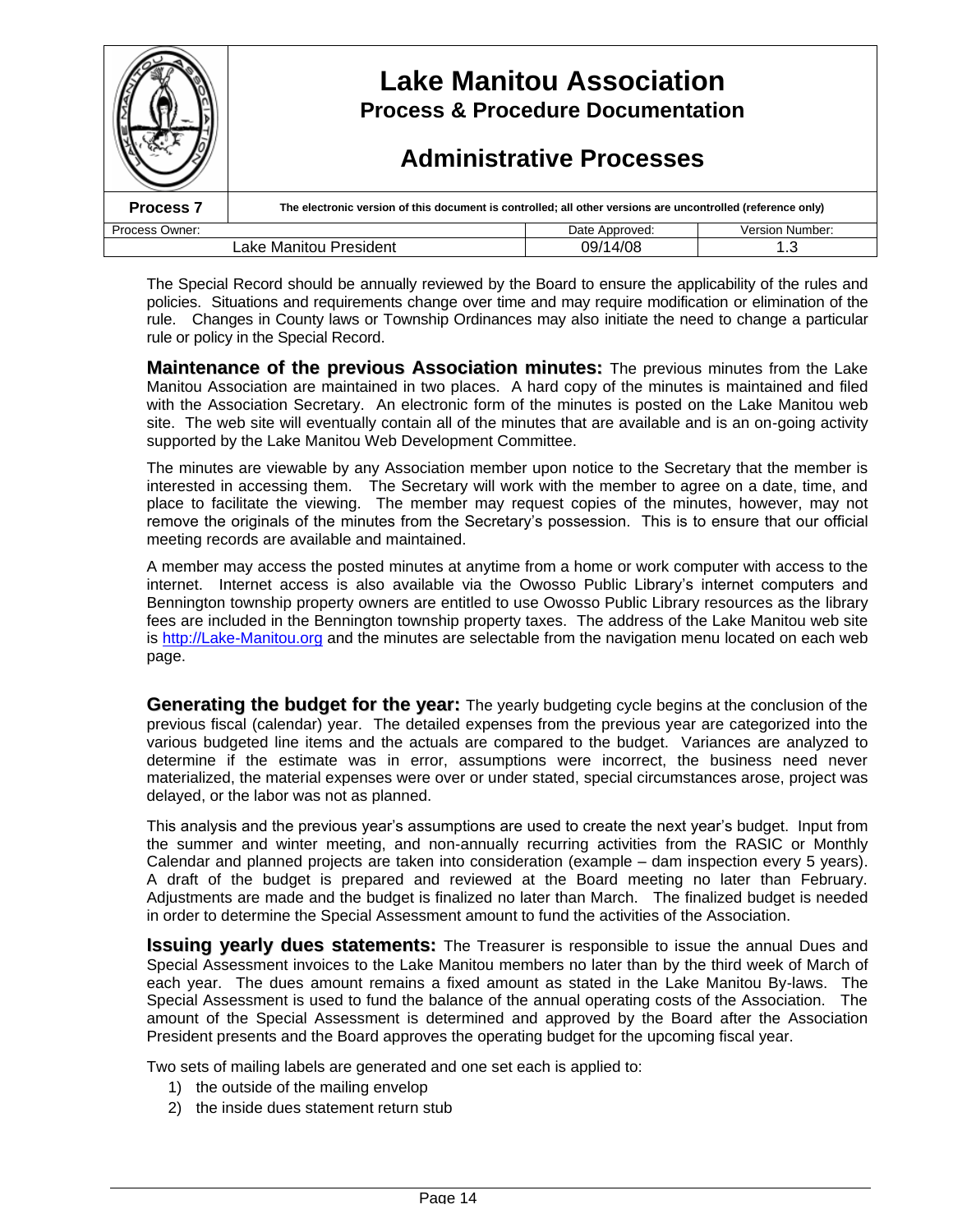|                      | <b>Lake Manitou Association</b><br><b>Process &amp; Procedure Documentation</b><br><b>Administrative Processes</b> |                |                        |
|----------------------|--------------------------------------------------------------------------------------------------------------------|----------------|------------------------|
| Process <sub>7</sub> | The electronic version of this document is controlled; all other versions are uncontrolled (reference only)        |                |                        |
| Process Owner:       |                                                                                                                    | Date Approved: | <b>Version Number:</b> |
|                      | Lake Manitou President                                                                                             | 09/14/08       |                        |

The Special Record should be annually reviewed by the Board to ensure the applicability of the rules and policies. Situations and requirements change over time and may require modification or elimination of the rule. Changes in County laws or Township Ordinances may also initiate the need to change a particular rule or policy in the Special Record.

**Maintenance of the previous Association minutes:** The previous minutes from the Lake Manitou Association are maintained in two places. A hard copy of the minutes is maintained and filed with the Association Secretary. An electronic form of the minutes is posted on the Lake Manitou web site. The web site will eventually contain all of the minutes that are available and is an on-going activity supported by the Lake Manitou Web Development Committee.

The minutes are viewable by any Association member upon notice to the Secretary that the member is interested in accessing them. The Secretary will work with the member to agree on a date, time, and place to facilitate the viewing. The member may request copies of the minutes, however, may not remove the originals of the minutes from the Secretary's possession. This is to ensure that our official meeting records are available and maintained.

A member may access the posted minutes at anytime from a home or work computer with access to the internet. Internet access is also available via the Owosso Public Library's internet computers and Bennington township property owners are entitled to use Owosso Public Library resources as the library fees are included in the Bennington township property taxes. The address of the Lake Manitou web site is http://Lake-Manitou.org and the minutes are selectable from the navigation menu located on each web page.

**Generating the budget for the year:** The yearly budgeting cycle begins at the conclusion of the previous fiscal (calendar) year. The detailed expenses from the previous year are categorized into the various budgeted line items and the actuals are compared to the budget. Variances are analyzed to determine if the estimate was in error, assumptions were incorrect, the business need never materialized, the material expenses were over or under stated, special circumstances arose, project was delayed, or the labor was not as planned.

This analysis and the previous year's assumptions are used to create the next year's budget. Input from the summer and winter meeting, and non-annually recurring activities from the RASIC or Monthly Calendar and planned projects are taken into consideration (example – dam inspection every 5 years). A draft of the budget is prepared and reviewed at the Board meeting no later than February. Adjustments are made and the budget is finalized no later than March. The finalized budget is needed in order to determine the Special Assessment amount to fund the activities of the Association.

**Issuing yearly dues statements:** The Treasurer is responsible to issue the annual Dues and Special Assessment invoices to the Lake Manitou members no later than by the third week of March of each year. The dues amount remains a fixed amount as stated in the Lake Manitou By-laws. The Special Assessment is used to fund the balance of the annual operating costs of the Association. The amount of the Special Assessment is determined and approved by the Board after the Association President presents and the Board approves the operating budget for the upcoming fiscal year.

Two sets of mailing labels are generated and one set each is applied to:

- 1) the outside of the mailing envelop
- 2) the inside dues statement return stub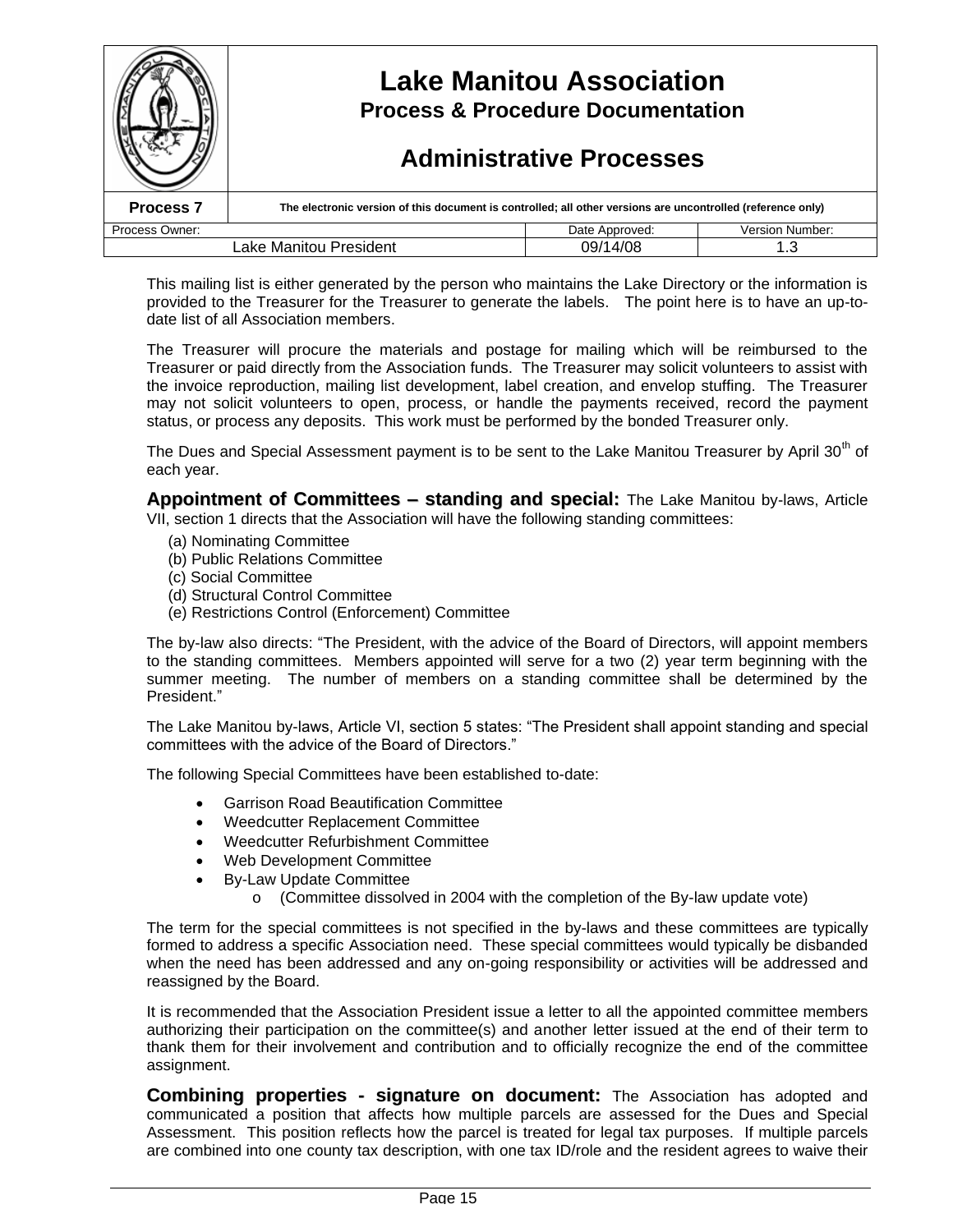|                                    | <b>Lake Manitou Association</b><br><b>Process &amp; Procedure Documentation</b><br><b>Administrative Processes</b> |                |                        |
|------------------------------------|--------------------------------------------------------------------------------------------------------------------|----------------|------------------------|
| <b>Process 7</b>                   | The electronic version of this document is controlled; all other versions are uncontrolled (reference only)        |                |                        |
| Process Owner:                     |                                                                                                                    | Date Approved: | <b>Version Number:</b> |
| 09/14/08<br>Lake Manitou President |                                                                                                                    |                |                        |

This mailing list is either generated by the person who maintains the Lake Directory or the information is provided to the Treasurer for the Treasurer to generate the labels. The point here is to have an up-todate list of all Association members.

The Treasurer will procure the materials and postage for mailing which will be reimbursed to the Treasurer or paid directly from the Association funds. The Treasurer may solicit volunteers to assist with the invoice reproduction, mailing list development, label creation, and envelop stuffing. The Treasurer may not solicit volunteers to open, process, or handle the payments received, record the payment status, or process any deposits. This work must be performed by the bonded Treasurer only.

The Dues and Special Assessment payment is to be sent to the Lake Manitou Treasurer by April 30<sup>th</sup> of each year.

**Appointment of Committees –standing and special:** The Lake Manitou by-laws, Article VII, section 1 directs that the Association will have the following standing committees:

- (a) Nominating Committee
- (b) Public Relations Committee
- (c) Social Committee
- (d) Structural Control Committee
- (e) Restrictions Control (Enforcement) Committee

The by-law also directs: "The President, with the advice of the Board of Directors, will appoint members to the standing committees. Members appointed will serve for a two (2) year term beginning with the summer meeting. The number of members on a standing committee shall be determined by the President."

The Lake Manitou by-laws, Article VI, section 5 states: "The President shall appoint standing and special committees with the advice of the Board of Directors."

The following Special Committees have been established to-date:

- Garrison Road Beautification Committee
- Weedcutter Replacement Committee
- Weedcutter Refurbishment Committee
- Web Development Committee
- By-Law Update Committee
	- o (Committee dissolved in 2004 with the completion of the By-law update vote)

The term for the special committees is not specified in the by-laws and these committees are typically formed to address a specific Association need. These special committees would typically be disbanded when the need has been addressed and any on-going responsibility or activities will be addressed and reassigned by the Board.

It is recommended that the Association President issue a letter to all the appointed committee members authorizing their participation on the committee(s) and another letter issued at the end of their term to thank them for their involvement and contribution and to officially recognize the end of the committee assignment.

**Combining properties - signature on document:** The Association has adopted and communicated a position that affects how multiple parcels are assessed for the Dues and Special Assessment. This position reflects how the parcel is treated for legal tax purposes. If multiple parcels are combined into one county tax description, with one tax ID/role and the resident agrees to waive their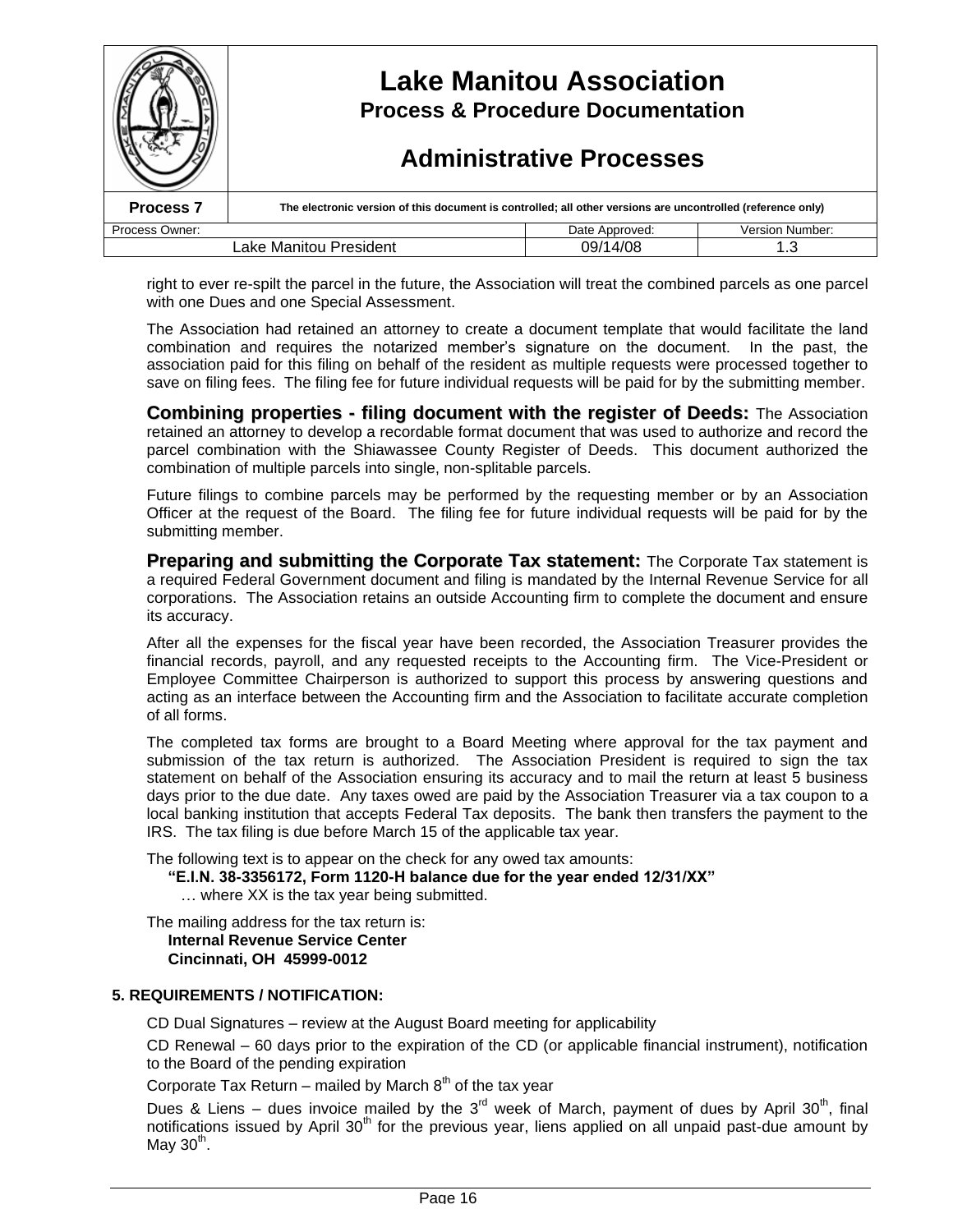|                      | <b>Lake Manitou Association</b><br><b>Process &amp; Procedure Documentation</b><br><b>Administrative Processes</b> |                |                        |
|----------------------|--------------------------------------------------------------------------------------------------------------------|----------------|------------------------|
| Process <sub>7</sub> | The electronic version of this document is controlled; all other versions are uncontrolled (reference only)        |                |                        |
| Process Owner:       |                                                                                                                    | Date Approved: | <b>Version Number:</b> |
|                      | Lake Manitou President                                                                                             | 09/14/08       | 1.3                    |

right to ever re-spilt the parcel in the future, the Association will treat the combined parcels as one parcel with one Dues and one Special Assessment.

The Association had retained an attorney to create a document template that would facilitate the land combination and requires the notarized member'ssignature on the document. In the past, the association paid for this filing on behalf of the resident as multiple requests were processed together to save on filing fees. The filing fee for future individual requests will be paid for by the submitting member.

**Combining properties - filing document with the register of Deeds:** The Association retained an attorney to develop a recordable format document that was used to authorize and record the parcel combination with the Shiawassee County Register of Deeds. This document authorized the combination of multiple parcels into single, non-splitable parcels.

Future filings to combine parcels may be performed by the requesting member or by an Association Officer at the request of the Board. The filing fee for future individual requests will be paid for by the submitting member.

**Preparing and submitting the Corporate Tax statement:** The Corporate Tax statement is a required Federal Government document and filing is mandated by the Internal Revenue Service for all corporations. The Association retains an outside Accounting firm to complete the document and ensure its accuracy.

After all the expenses for the fiscal year have been recorded, the Association Treasurer provides the financial records, payroll, and any requested receipts to the Accounting firm. The Vice-President or Employee Committee Chairperson is authorized to support this process by answering questions and acting as an interface between the Accounting firm and the Association to facilitate accurate completion of all forms.

The completed tax forms are brought to a Board Meeting where approval for the tax payment and submission of the tax return is authorized. The Association President is required to sign the tax statement on behalf of the Association ensuring its accuracy and to mail the return at least 5 business days prior to the due date. Any taxes owed are paid by the Association Treasurer via a tax coupon to a local banking institution that accepts Federal Tax deposits. The bank then transfers the payment to the IRS. The tax filing is due before March 15 of the applicable tax year.

The following text is to appear on the check for any owed tax amounts:

**"E.I.N.38-3356172, Form 1120-Hbalanceduefortheyearended12/31/XX"** … where XX is the tax year being submitted.

The mailing address for the tax return is: **Internal Revenue Service Center Cincinnati, OH 45999-0012**

#### **5. REQUIREMENTS / NOTIFICATION:**

CD Dual Signatures – review at the August Board meeting for applicability

CD Renewal –60 days prior to the expiration of the CD (or applicable financial instrument), notification to the Board of the pending expiration

Corporate Tax Return – mailed by March  $8<sup>th</sup>$  of the tax year

Dues & Liens – dues invoice mailed by the 3<sup>rd</sup> week of March, payment of dues by April 30<sup>th</sup>, final notifications issued by April 30th for the previous year, liens applied on all unpaid past-due amount by May 30<sup>th</sup>.